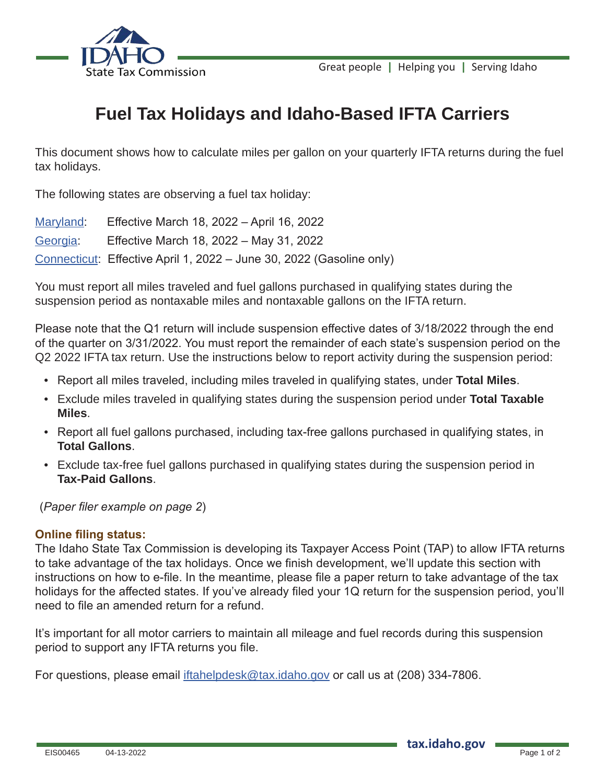

## **Fuel Tax Holidays and Idaho-Based IFTA Carriers**

This document shows how to calculate miles per gallon on your quarterly IFTA returns during the fuel tax holidays.

The following states are observing a fuel tax holiday:

| Maryland: | Effective March 18, 2022 - April 16, 2022                            |
|-----------|----------------------------------------------------------------------|
| Georgia:  | Effective March 18, 2022 - May 31, 2022                              |
|           | Connecticut: Effective April 1, 2022 - June 30, 2022 (Gasoline only) |

You must report all miles traveled and fuel gallons purchased in qualifying states during the suspension period as nontaxable miles and nontaxable gallons on the IFTA return.

Please note that the Q1 return will include suspension effective dates of 3/18/2022 through the end of the quarter on 3/31/2022. You must report the remainder of each state's suspension period on the Q2 2022 IFTA tax return. Use the instructions below to report activity during the suspension period:

- Report all miles traveled, including miles traveled in qualifying states, under **Total Miles**.
- Exclude miles traveled in qualifying states during the suspension period under **Total Taxable Miles**.
- Report all fuel gallons purchased, including tax-free gallons purchased in qualifying states, in **Total Gallons**.
- Exclude tax-free fuel gallons purchased in qualifying states during the suspension period in **Tax-Paid Gallons**.

(*Paper filer example on page 2*)

## **Online filing status:**

The Idaho State Tax Commission is developing its Taxpayer Access Point (TAP) to allow IFTA returns to take advantage of the tax holidays. Once we finish development, we'll update this section with instructions on how to e-file. In the meantime, please file a paper return to take advantage of the tax holidays for the affected states. If you've already filed your 1Q return for the suspension period, you'll need to file an amended return for a refund.

It's important for all motor carriers to maintain all mileage and fuel records during this suspension period to support any IFTA returns you file.

For questions, please email iftahelpdesk@tax.idaho.gov or call us at (208) 334-7806.